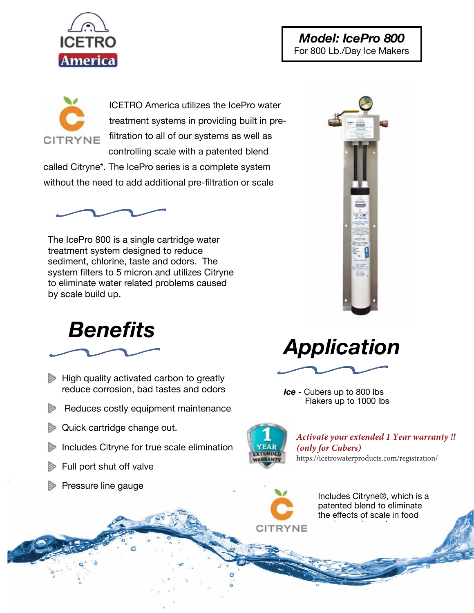



ICETRO America utilizes the IcePro water treatment systems in providing built in prefiltration to all of our systems as well as controlling scale with a patented blend

called Citryne\*. The IcePro series is a complete system without the need to add additional pre-filtration or scale



The IcePro 800 is a single cartridge water treatment system designed to reduce sediment, chlorine, taste and odors. The system filters to 5 micron and utilizes Citryne to eliminate water related problems caused by scale build up.



- $\triangleright$  High quality activated carbon to greatly reduce corrosion, bad tastes and odors
- Reduces costly equipment maintenance
- **Quick cartridge change out.**
- Includes Citryne for true scale elimination
- Full port shut off valve





*Ice* - Cubers up to 800 lbs Flakers up to 1000 lbs



*Activate your extended 1 Year warranty !!* (only for Cubers) https://icetrowaterproducts.com/registration/